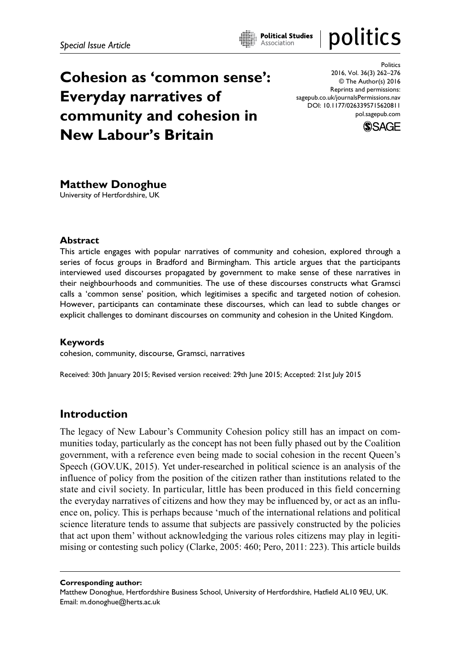

politics

# **Cohesion as 'common sense': Everyday narratives of community and cohesion in New Labour's Britain**

**Politics** 2016, Vol. 36(3) 262–276 © The Author(s) 2016 Reprints and permissions: sagepub.co.uk/journalsPermissions.nav DOI: 10.1177/0263395715620811 pol.sagepub.com



**Matthew Donoghue**

University of Hertfordshire, UK

## **Abstract**

This article engages with popular narratives of community and cohesion, explored through a series of focus groups in Bradford and Birmingham. This article argues that the participants interviewed used discourses propagated by government to make sense of these narratives in their neighbourhoods and communities. The use of these discourses constructs what Gramsci calls a 'common sense' position, which legitimises a specific and targeted notion of cohesion. However, participants can contaminate these discourses, which can lead to subtle changes or explicit challenges to dominant discourses on community and cohesion in the United Kingdom.

## **Keywords**

cohesion, community, discourse, Gramsci, narratives

Received: 30th January 2015; Revised version received: 29th June 2015; Accepted: 21st July 2015

# **Introduction**

The legacy of New Labour's Community Cohesion policy still has an impact on communities today, particularly as the concept has not been fully phased out by the Coalition government, with a reference even being made to social cohesion in the recent Queen's Speech (GOV.UK, 2015). Yet under-researched in political science is an analysis of the influence of policy from the position of the citizen rather than institutions related to the state and civil society. In particular, little has been produced in this field concerning the everyday narratives of citizens and how they may be influenced by, or act as an influence on, policy. This is perhaps because 'much of the international relations and political science literature tends to assume that subjects are passively constructed by the policies that act upon them' without acknowledging the various roles citizens may play in legitimising or contesting such policy (Clarke, 2005: 460; Pero, 2011: 223). This article builds

**Corresponding author:**

Matthew Donoghue, Hertfordshire Business School, University of Hertfordshire, Hatfield AL10 9EU, UK. Email: [m.donoghue@herts.ac.uk](mailto:m.donoghue@herts.ac.uk)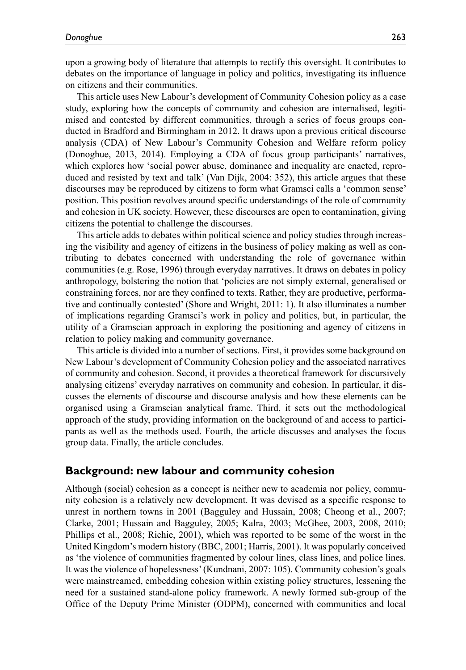upon a growing body of literature that attempts to rectify this oversight. It contributes to debates on the importance of language in policy and politics, investigating its influence on citizens and their communities.

This article uses New Labour's development of Community Cohesion policy as a case study, exploring how the concepts of community and cohesion are internalised, legitimised and contested by different communities, through a series of focus groups conducted in Bradford and Birmingham in 2012. It draws upon a previous critical discourse analysis (CDA) of New Labour's Community Cohesion and Welfare reform policy (Donoghue, 2013, 2014). Employing a CDA of focus group participants' narratives, which explores how 'social power abuse, dominance and inequality are enacted, reproduced and resisted by text and talk' (Van Dijk, 2004: 352), this article argues that these discourses may be reproduced by citizens to form what Gramsci calls a 'common sense' position. This position revolves around specific understandings of the role of community and cohesion in UK society. However, these discourses are open to contamination, giving citizens the potential to challenge the discourses.

This article adds to debates within political science and policy studies through increasing the visibility and agency of citizens in the business of policy making as well as contributing to debates concerned with understanding the role of governance within communities (e.g. Rose, 1996) through everyday narratives. It draws on debates in policy anthropology, bolstering the notion that 'policies are not simply external, generalised or constraining forces, nor are they confined to texts. Rather, they are productive, performative and continually contested' (Shore and Wright, 2011: 1). It also illuminates a number of implications regarding Gramsci's work in policy and politics, but, in particular, the utility of a Gramscian approach in exploring the positioning and agency of citizens in relation to policy making and community governance.

This article is divided into a number of sections. First, it provides some background on New Labour's development of Community Cohesion policy and the associated narratives of community and cohesion. Second, it provides a theoretical framework for discursively analysing citizens' everyday narratives on community and cohesion. In particular, it discusses the elements of discourse and discourse analysis and how these elements can be organised using a Gramscian analytical frame. Third, it sets out the methodological approach of the study, providing information on the background of and access to participants as well as the methods used. Fourth, the article discusses and analyses the focus group data. Finally, the article concludes.

## **Background: new labour and community cohesion**

Although (social) cohesion as a concept is neither new to academia nor policy, community cohesion is a relatively new development. It was devised as a specific response to unrest in northern towns in 2001 (Bagguley and Hussain, 2008; Cheong et al., 2007; Clarke, 2001; Hussain and Bagguley, 2005; Kalra, 2003; McGhee, 2003, 2008, 2010; Phillips et al., 2008; Richie, 2001), which was reported to be some of the worst in the United Kingdom's modern history (BBC, 2001; Harris, 2001). It was popularly conceived as 'the violence of communities fragmented by colour lines, class lines, and police lines. It was the violence of hopelessness' (Kundnani, 2007: 105). Community cohesion's goals were mainstreamed, embedding cohesion within existing policy structures, lessening the need for a sustained stand-alone policy framework. A newly formed sub-group of the Office of the Deputy Prime Minister (ODPM), concerned with communities and local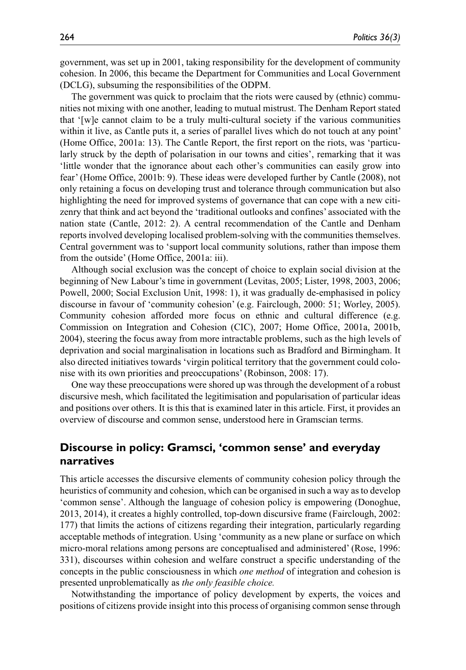government, was set up in 2001, taking responsibility for the development of community cohesion. In 2006, this became the Department for Communities and Local Government (DCLG), subsuming the responsibilities of the ODPM.

The government was quick to proclaim that the riots were caused by (ethnic) communities not mixing with one another, leading to mutual mistrust. The Denham Report stated that '[w]e cannot claim to be a truly multi-cultural society if the various communities within it live, as Cantle puts it, a series of parallel lives which do not touch at any point' (Home Office, 2001a: 13). The Cantle Report, the first report on the riots, was 'particularly struck by the depth of polarisation in our towns and cities', remarking that it was 'little wonder that the ignorance about each other's communities can easily grow into fear' (Home Office, 2001b: 9). These ideas were developed further by Cantle (2008), not only retaining a focus on developing trust and tolerance through communication but also highlighting the need for improved systems of governance that can cope with a new citizenry that think and act beyond the 'traditional outlooks and confines' associated with the nation state (Cantle, 2012: 2). A central recommendation of the Cantle and Denham reports involved developing localised problem-solving with the communities themselves. Central government was to 'support local community solutions, rather than impose them from the outside' (Home Office, 2001a: iii).

Although social exclusion was the concept of choice to explain social division at the beginning of New Labour's time in government (Levitas, 2005; Lister, 1998, 2003, 2006; Powell, 2000; Social Exclusion Unit, 1998: 1), it was gradually de-emphasised in policy discourse in favour of 'community cohesion' (e.g. Fairclough, 2000: 51; Worley, 2005). Community cohesion afforded more focus on ethnic and cultural difference (e.g. Commission on Integration and Cohesion (CIC), 2007; Home Office, 2001a, 2001b, 2004), steering the focus away from more intractable problems, such as the high levels of deprivation and social marginalisation in locations such as Bradford and Birmingham. It also directed initiatives towards 'virgin political territory that the government could colonise with its own priorities and preoccupations' (Robinson, 2008: 17).

One way these preoccupations were shored up was through the development of a robust discursive mesh, which facilitated the legitimisation and popularisation of particular ideas and positions over others. It is this that is examined later in this article. First, it provides an overview of discourse and common sense, understood here in Gramscian terms.

# **Discourse in policy: Gramsci, 'common sense' and everyday narratives**

This article accesses the discursive elements of community cohesion policy through the heuristics of community and cohesion, which can be organised in such a way as to develop 'common sense'. Although the language of cohesion policy is empowering (Donoghue, 2013, 2014), it creates a highly controlled, top-down discursive frame (Fairclough, 2002: 177) that limits the actions of citizens regarding their integration, particularly regarding acceptable methods of integration. Using 'community as a new plane or surface on which micro-moral relations among persons are conceptualised and administered' (Rose, 1996: 331), discourses within cohesion and welfare construct a specific understanding of the concepts in the public consciousness in which *one method* of integration and cohesion is presented unproblematically as *the only feasible choice.*

Notwithstanding the importance of policy development by experts, the voices and positions of citizens provide insight into this process of organising common sense through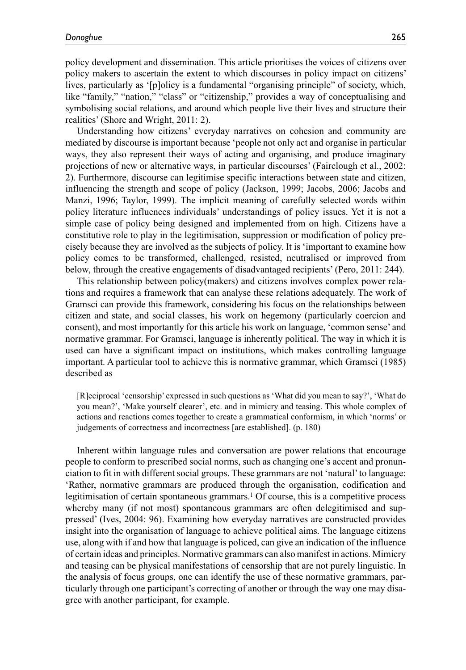policy development and dissemination. This article prioritises the voices of citizens over policy makers to ascertain the extent to which discourses in policy impact on citizens' lives, particularly as '[p]olicy is a fundamental "organising principle" of society, which, like "family," "nation," "class" or "citizenship," provides a way of conceptualising and symbolising social relations, and around which people live their lives and structure their realities' (Shore and Wright, 2011: 2).

Understanding how citizens' everyday narratives on cohesion and community are mediated by discourse is important because 'people not only act and organise in particular ways, they also represent their ways of acting and organising, and produce imaginary projections of new or alternative ways, in particular discourses' (Fairclough et al., 2002: 2). Furthermore, discourse can legitimise specific interactions between state and citizen, influencing the strength and scope of policy (Jackson, 1999; Jacobs, 2006; Jacobs and Manzi, 1996; Taylor, 1999). The implicit meaning of carefully selected words within policy literature influences individuals' understandings of policy issues. Yet it is not a simple case of policy being designed and implemented from on high. Citizens have a constitutive role to play in the legitimisation, suppression or modification of policy precisely because they are involved as the subjects of policy. It is 'important to examine how policy comes to be transformed, challenged, resisted, neutralised or improved from below, through the creative engagements of disadvantaged recipients' (Pero, 2011: 244).

This relationship between policy(makers) and citizens involves complex power relations and requires a framework that can analyse these relations adequately. The work of Gramsci can provide this framework, considering his focus on the relationships between citizen and state, and social classes, his work on hegemony (particularly coercion and consent), and most importantly for this article his work on language, 'common sense' and normative grammar. For Gramsci, language is inherently political. The way in which it is used can have a significant impact on institutions, which makes controlling language important. A particular tool to achieve this is normative grammar, which Gramsci (1985) described as

[R]eciprocal 'censorship' expressed in such questions as 'What did you mean to say?', 'What do you mean?', 'Make yourself clearer', etc. and in mimicry and teasing. This whole complex of actions and reactions comes together to create a grammatical conformism, in which 'norms' or judgements of correctness and incorrectness [are established]. (p. 180)

Inherent within language rules and conversation are power relations that encourage people to conform to prescribed social norms, such as changing one's accent and pronunciation to fit in with different social groups. These grammars are not 'natural' to language: 'Rather, normative grammars are produced through the organisation, codification and legitimisation of certain spontaneous grammars.1 Of course, this is a competitive process whereby many (if not most) spontaneous grammars are often delegitimised and suppressed' (Ives, 2004: 96). Examining how everyday narratives are constructed provides insight into the organisation of language to achieve political aims. The language citizens use, along with if and how that language is policed, can give an indication of the influence of certain ideas and principles. Normative grammars can also manifest in actions. Mimicry and teasing can be physical manifestations of censorship that are not purely linguistic. In the analysis of focus groups, one can identify the use of these normative grammars, particularly through one participant's correcting of another or through the way one may disagree with another participant, for example.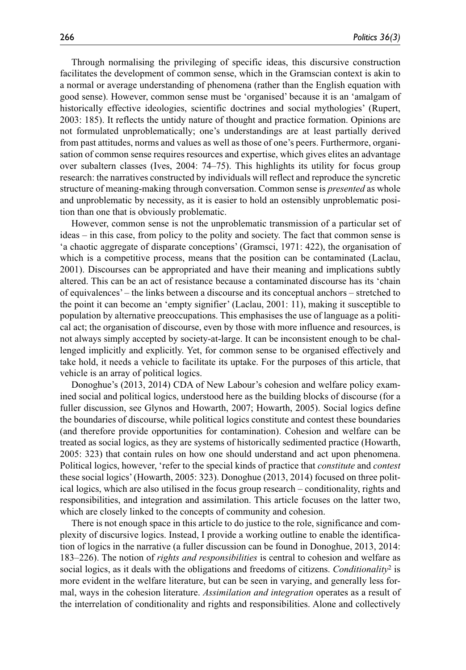Through normalising the privileging of specific ideas, this discursive construction facilitates the development of common sense, which in the Gramscian context is akin to a normal or average understanding of phenomena (rather than the English equation with good sense). However, common sense must be 'organised' because it is an 'amalgam of historically effective ideologies, scientific doctrines and social mythologies' (Rupert, 2003: 185). It reflects the untidy nature of thought and practice formation. Opinions are not formulated unproblematically; one's understandings are at least partially derived from past attitudes, norms and values as well as those of one's peers. Furthermore, organisation of common sense requires resources and expertise, which gives elites an advantage over subaltern classes (Ives, 2004: 74–75). This highlights its utility for focus group research: the narratives constructed by individuals will reflect and reproduce the syncretic structure of meaning-making through conversation. Common sense is *presented* as whole and unproblematic by necessity, as it is easier to hold an ostensibly unproblematic position than one that is obviously problematic.

However, common sense is not the unproblematic transmission of a particular set of ideas – in this case, from policy to the polity and society. The fact that common sense is 'a chaotic aggregate of disparate conceptions' (Gramsci, 1971: 422), the organisation of which is a competitive process, means that the position can be contaminated (Laclau, 2001). Discourses can be appropriated and have their meaning and implications subtly altered. This can be an act of resistance because a contaminated discourse has its 'chain of equivalences' – the links between a discourse and its conceptual anchors – stretched to the point it can become an 'empty signifier' (Laclau, 2001: 11), making it susceptible to population by alternative preoccupations. This emphasises the use of language as a political act; the organisation of discourse, even by those with more influence and resources, is not always simply accepted by society-at-large. It can be inconsistent enough to be challenged implicitly and explicitly. Yet, for common sense to be organised effectively and take hold, it needs a vehicle to facilitate its uptake. For the purposes of this article, that vehicle is an array of political logics.

Donoghue's (2013, 2014) CDA of New Labour's cohesion and welfare policy examined social and political logics, understood here as the building blocks of discourse (for a fuller discussion, see Glynos and Howarth, 2007; Howarth, 2005). Social logics define the boundaries of discourse, while political logics constitute and contest these boundaries (and therefore provide opportunities for contamination). Cohesion and welfare can be treated as social logics, as they are systems of historically sedimented practice (Howarth, 2005: 323) that contain rules on how one should understand and act upon phenomena. Political logics, however, 'refer to the special kinds of practice that *constitute* and *contest* these social logics' (Howarth, 2005: 323). Donoghue (2013, 2014) focused on three political logics, which are also utilised in the focus group research – conditionality, rights and responsibilities, and integration and assimilation. This article focuses on the latter two, which are closely linked to the concepts of community and cohesion.

There is not enough space in this article to do justice to the role, significance and complexity of discursive logics. Instead, I provide a working outline to enable the identification of logics in the narrative (a fuller discussion can be found in Donoghue, 2013, 2014: 183–226). The notion of *rights and responsibilities* is central to cohesion and welfare as social logics, as it deals with the obligations and freedoms of citizens. *Conditionality*2 is more evident in the welfare literature, but can be seen in varying, and generally less formal, ways in the cohesion literature. *Assimilation and integration* operates as a result of the interrelation of conditionality and rights and responsibilities. Alone and collectively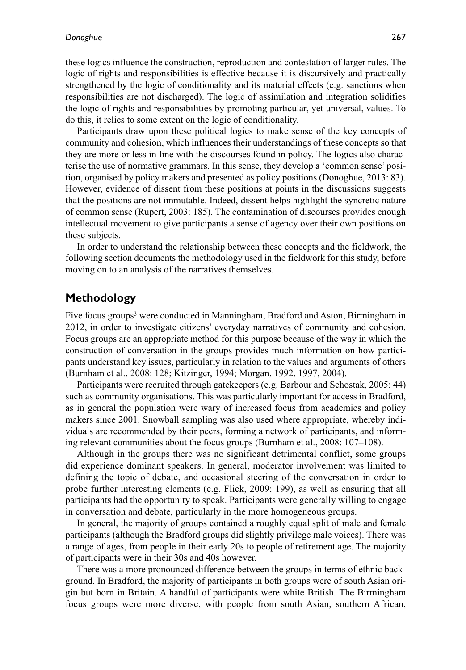these logics influence the construction, reproduction and contestation of larger rules. The logic of rights and responsibilities is effective because it is discursively and practically strengthened by the logic of conditionality and its material effects (e.g. sanctions when responsibilities are not discharged). The logic of assimilation and integration solidifies the logic of rights and responsibilities by promoting particular, yet universal, values. To do this, it relies to some extent on the logic of conditionality.

Participants draw upon these political logics to make sense of the key concepts of community and cohesion, which influences their understandings of these concepts so that they are more or less in line with the discourses found in policy. The logics also characterise the use of normative grammars. In this sense, they develop a 'common sense' position, organised by policy makers and presented as policy positions (Donoghue, 2013: 83). However, evidence of dissent from these positions at points in the discussions suggests that the positions are not immutable. Indeed, dissent helps highlight the syncretic nature of common sense (Rupert, 2003: 185). The contamination of discourses provides enough intellectual movement to give participants a sense of agency over their own positions on these subjects.

In order to understand the relationship between these concepts and the fieldwork, the following section documents the methodology used in the fieldwork for this study, before moving on to an analysis of the narratives themselves.

# **Methodology**

Five focus groups<sup>3</sup> were conducted in Manningham, Bradford and Aston, Birmingham in 2012, in order to investigate citizens' everyday narratives of community and cohesion. Focus groups are an appropriate method for this purpose because of the way in which the construction of conversation in the groups provides much information on how participants understand key issues, particularly in relation to the values and arguments of others (Burnham et al., 2008: 128; Kitzinger, 1994; Morgan, 1992, 1997, 2004).

Participants were recruited through gatekeepers (e.g. Barbour and Schostak, 2005: 44) such as community organisations. This was particularly important for access in Bradford, as in general the population were wary of increased focus from academics and policy makers since 2001. Snowball sampling was also used where appropriate, whereby individuals are recommended by their peers, forming a network of participants, and informing relevant communities about the focus groups (Burnham et al., 2008: 107–108).

Although in the groups there was no significant detrimental conflict, some groups did experience dominant speakers. In general, moderator involvement was limited to defining the topic of debate, and occasional steering of the conversation in order to probe further interesting elements (e.g. Flick, 2009: 199), as well as ensuring that all participants had the opportunity to speak. Participants were generally willing to engage in conversation and debate, particularly in the more homogeneous groups.

In general, the majority of groups contained a roughly equal split of male and female participants (although the Bradford groups did slightly privilege male voices). There was a range of ages, from people in their early 20s to people of retirement age. The majority of participants were in their 30s and 40s however.

There was a more pronounced difference between the groups in terms of ethnic background. In Bradford, the majority of participants in both groups were of south Asian origin but born in Britain. A handful of participants were white British. The Birmingham focus groups were more diverse, with people from south Asian, southern African,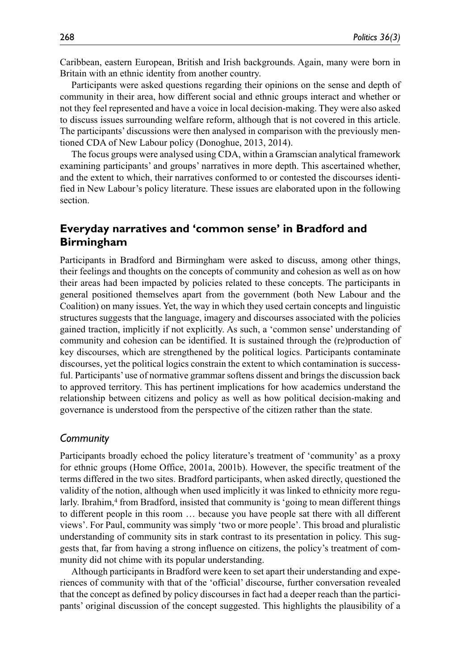Caribbean, eastern European, British and Irish backgrounds. Again, many were born in Britain with an ethnic identity from another country.

Participants were asked questions regarding their opinions on the sense and depth of community in their area, how different social and ethnic groups interact and whether or not they feel represented and have a voice in local decision-making. They were also asked to discuss issues surrounding welfare reform, although that is not covered in this article. The participants' discussions were then analysed in comparison with the previously mentioned CDA of New Labour policy (Donoghue, 2013, 2014).

The focus groups were analysed using CDA, within a Gramscian analytical framework examining participants' and groups' narratives in more depth. This ascertained whether, and the extent to which, their narratives conformed to or contested the discourses identified in New Labour's policy literature. These issues are elaborated upon in the following section.

# **Everyday narratives and 'common sense' in Bradford and Birmingham**

Participants in Bradford and Birmingham were asked to discuss, among other things, their feelings and thoughts on the concepts of community and cohesion as well as on how their areas had been impacted by policies related to these concepts. The participants in general positioned themselves apart from the government (both New Labour and the Coalition) on many issues. Yet, the way in which they used certain concepts and linguistic structures suggests that the language, imagery and discourses associated with the policies gained traction, implicitly if not explicitly. As such, a 'common sense' understanding of community and cohesion can be identified. It is sustained through the (re)production of key discourses, which are strengthened by the political logics. Participants contaminate discourses, yet the political logics constrain the extent to which contamination is successful. Participants' use of normative grammar softens dissent and brings the discussion back to approved territory. This has pertinent implications for how academics understand the relationship between citizens and policy as well as how political decision-making and governance is understood from the perspective of the citizen rather than the state.

## *Community*

Participants broadly echoed the policy literature's treatment of 'community' as a proxy for ethnic groups (Home Office, 2001a, 2001b). However, the specific treatment of the terms differed in the two sites. Bradford participants, when asked directly, questioned the validity of the notion, although when used implicitly it was linked to ethnicity more regularly. Ibrahim,<sup>4</sup> from Bradford, insisted that community is 'going to mean different things to different people in this room … because you have people sat there with all different views'. For Paul, community was simply 'two or more people'. This broad and pluralistic understanding of community sits in stark contrast to its presentation in policy. This suggests that, far from having a strong influence on citizens, the policy's treatment of community did not chime with its popular understanding.

Although participants in Bradford were keen to set apart their understanding and experiences of community with that of the 'official' discourse, further conversation revealed that the concept as defined by policy discourses in fact had a deeper reach than the participants' original discussion of the concept suggested. This highlights the plausibility of a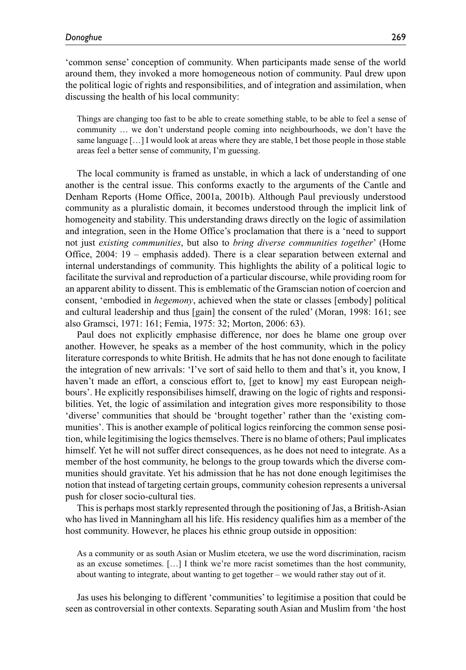'common sense' conception of community. When participants made sense of the world around them, they invoked a more homogeneous notion of community. Paul drew upon the political logic of rights and responsibilities, and of integration and assimilation, when discussing the health of his local community:

Things are changing too fast to be able to create something stable, to be able to feel a sense of community … we don't understand people coming into neighbourhoods, we don't have the same language […] I would look at areas where they are stable, I bet those people in those stable areas feel a better sense of community, I'm guessing.

The local community is framed as unstable, in which a lack of understanding of one another is the central issue. This conforms exactly to the arguments of the Cantle and Denham Reports (Home Office, 2001a, 2001b). Although Paul previously understood community as a pluralistic domain, it becomes understood through the implicit link of homogeneity and stability. This understanding draws directly on the logic of assimilation and integration, seen in the Home Office's proclamation that there is a 'need to support not just *existing communities*, but also to *bring diverse communities together*' (Home Office, 2004: 19 – emphasis added). There is a clear separation between external and internal understandings of community. This highlights the ability of a political logic to facilitate the survival and reproduction of a particular discourse, while providing room for an apparent ability to dissent. This is emblematic of the Gramscian notion of coercion and consent, 'embodied in *hegemony*, achieved when the state or classes [embody] political and cultural leadership and thus [gain] the consent of the ruled' (Moran, 1998: 161; see also Gramsci, 1971: 161; Femia, 1975: 32; Morton, 2006: 63).

Paul does not explicitly emphasise difference, nor does he blame one group over another. However, he speaks as a member of the host community, which in the policy literature corresponds to white British. He admits that he has not done enough to facilitate the integration of new arrivals: 'I've sort of said hello to them and that's it, you know, I haven't made an effort, a conscious effort to, [get to know] my east European neighbours'. He explicitly responsibilises himself, drawing on the logic of rights and responsibilities. Yet, the logic of assimilation and integration gives more responsibility to those 'diverse' communities that should be 'brought together' rather than the 'existing communities'. This is another example of political logics reinforcing the common sense position, while legitimising the logics themselves. There is no blame of others; Paul implicates himself. Yet he will not suffer direct consequences, as he does not need to integrate. As a member of the host community, he belongs to the group towards which the diverse communities should gravitate. Yet his admission that he has not done enough legitimises the notion that instead of targeting certain groups, community cohesion represents a universal push for closer socio-cultural ties.

This is perhaps most starkly represented through the positioning of Jas, a British-Asian who has lived in Manningham all his life. His residency qualifies him as a member of the host community. However, he places his ethnic group outside in opposition:

As a community or as south Asian or Muslim etcetera, we use the word discrimination, racism as an excuse sometimes. […] I think we're more racist sometimes than the host community, about wanting to integrate, about wanting to get together – we would rather stay out of it.

Jas uses his belonging to different 'communities' to legitimise a position that could be seen as controversial in other contexts. Separating south Asian and Muslim from 'the host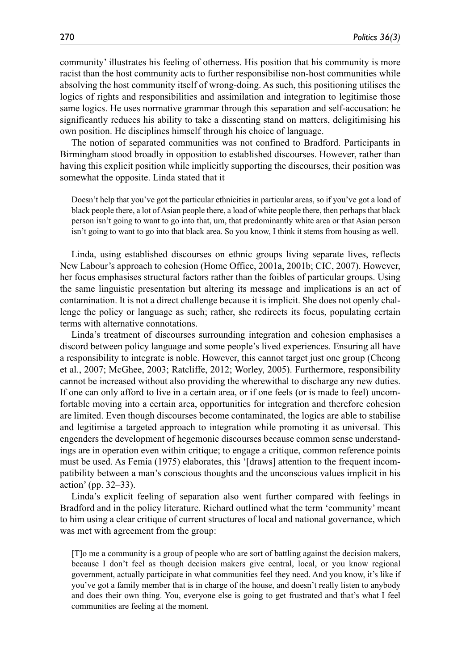community' illustrates his feeling of otherness. His position that his community is more racist than the host community acts to further responsibilise non-host communities while absolving the host community itself of wrong-doing. As such, this positioning utilises the logics of rights and responsibilities and assimilation and integration to legitimise those same logics. He uses normative grammar through this separation and self-accusation: he significantly reduces his ability to take a dissenting stand on matters, deligitimising his own position. He disciplines himself through his choice of language.

The notion of separated communities was not confined to Bradford. Participants in Birmingham stood broadly in opposition to established discourses. However, rather than having this explicit position while implicitly supporting the discourses, their position was somewhat the opposite. Linda stated that it

Doesn't help that you've got the particular ethnicities in particular areas, so if you've got a load of black people there, a lot of Asian people there, a load of white people there, then perhaps that black person isn't going to want to go into that, um, that predominantly white area or that Asian person isn't going to want to go into that black area. So you know, I think it stems from housing as well.

Linda, using established discourses on ethnic groups living separate lives, reflects New Labour's approach to cohesion (Home Office, 2001a, 2001b; CIC, 2007). However, her focus emphasises structural factors rather than the foibles of particular groups. Using the same linguistic presentation but altering its message and implications is an act of contamination. It is not a direct challenge because it is implicit. She does not openly challenge the policy or language as such; rather, she redirects its focus, populating certain terms with alternative connotations.

Linda's treatment of discourses surrounding integration and cohesion emphasises a discord between policy language and some people's lived experiences. Ensuring all have a responsibility to integrate is noble. However, this cannot target just one group (Cheong et al., 2007; McGhee, 2003; Ratcliffe, 2012; Worley, 2005). Furthermore, responsibility cannot be increased without also providing the wherewithal to discharge any new duties. If one can only afford to live in a certain area, or if one feels (or is made to feel) uncomfortable moving into a certain area, opportunities for integration and therefore cohesion are limited. Even though discourses become contaminated, the logics are able to stabilise and legitimise a targeted approach to integration while promoting it as universal. This engenders the development of hegemonic discourses because common sense understandings are in operation even within critique; to engage a critique, common reference points must be used. As Femia (1975) elaborates, this '[draws] attention to the frequent incompatibility between a man's conscious thoughts and the unconscious values implicit in his action' (pp. 32–33).

Linda's explicit feeling of separation also went further compared with feelings in Bradford and in the policy literature. Richard outlined what the term 'community' meant to him using a clear critique of current structures of local and national governance, which was met with agreement from the group:

[T]o me a community is a group of people who are sort of battling against the decision makers, because I don't feel as though decision makers give central, local, or you know regional government, actually participate in what communities feel they need. And you know, it's like if you've got a family member that is in charge of the house, and doesn't really listen to anybody and does their own thing. You, everyone else is going to get frustrated and that's what I feel communities are feeling at the moment.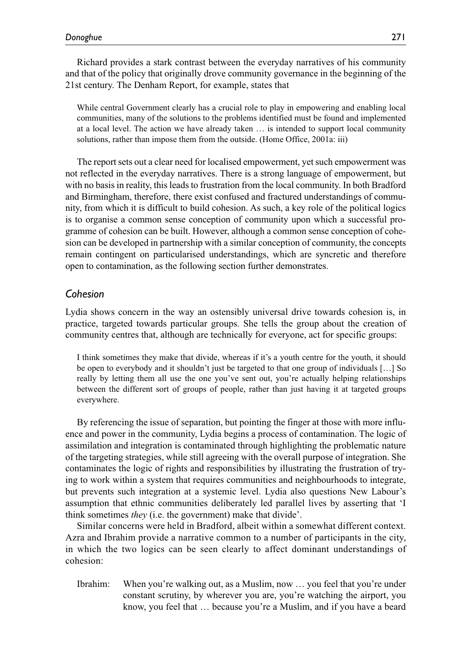Richard provides a stark contrast between the everyday narratives of his community and that of the policy that originally drove community governance in the beginning of the 21st century. The Denham Report, for example, states that

While central Government clearly has a crucial role to play in empowering and enabling local communities, many of the solutions to the problems identified must be found and implemented at a local level. The action we have already taken … is intended to support local community solutions, rather than impose them from the outside. (Home Office, 2001a: iii)

The report sets out a clear need for localised empowerment, yet such empowerment was not reflected in the everyday narratives. There is a strong language of empowerment, but with no basis in reality, this leads to frustration from the local community. In both Bradford and Birmingham, therefore, there exist confused and fractured understandings of community, from which it is difficult to build cohesion. As such, a key role of the political logics is to organise a common sense conception of community upon which a successful programme of cohesion can be built. However, although a common sense conception of cohesion can be developed in partnership with a similar conception of community, the concepts remain contingent on particularised understandings, which are syncretic and therefore open to contamination, as the following section further demonstrates.

## *Cohesion*

Lydia shows concern in the way an ostensibly universal drive towards cohesion is, in practice, targeted towards particular groups. She tells the group about the creation of community centres that, although are technically for everyone, act for specific groups:

I think sometimes they make that divide, whereas if it's a youth centre for the youth, it should be open to everybody and it shouldn't just be targeted to that one group of individuals […] So really by letting them all use the one you've sent out, you're actually helping relationships between the different sort of groups of people, rather than just having it at targeted groups everywhere.

By referencing the issue of separation, but pointing the finger at those with more influence and power in the community, Lydia begins a process of contamination. The logic of assimilation and integration is contaminated through highlighting the problematic nature of the targeting strategies, while still agreeing with the overall purpose of integration. She contaminates the logic of rights and responsibilities by illustrating the frustration of trying to work within a system that requires communities and neighbourhoods to integrate, but prevents such integration at a systemic level. Lydia also questions New Labour's assumption that ethnic communities deliberately led parallel lives by asserting that 'I think sometimes *they* (i.e. the government) make that divide'.

Similar concerns were held in Bradford, albeit within a somewhat different context. Azra and Ibrahim provide a narrative common to a number of participants in the city, in which the two logics can be seen clearly to affect dominant understandings of cohesion:

Ibrahim: When you're walking out, as a Muslim, now … you feel that you're under constant scrutiny, by wherever you are, you're watching the airport, you know, you feel that … because you're a Muslim, and if you have a beard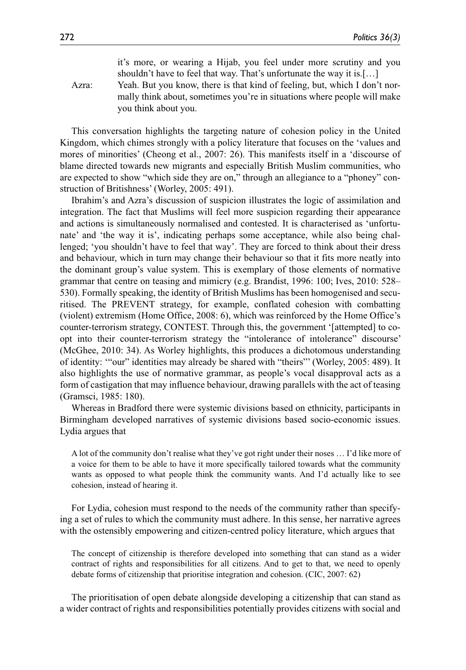it's more, or wearing a Hijab, you feel under more scrutiny and you shouldn't have to feel that way. That's unfortunate the way it is.[…]

Azra: Yeah. But you know, there is that kind of feeling, but, which I don't normally think about, sometimes you're in situations where people will make you think about you.

This conversation highlights the targeting nature of cohesion policy in the United Kingdom, which chimes strongly with a policy literature that focuses on the 'values and mores of minorities' (Cheong et al., 2007: 26). This manifests itself in a 'discourse of blame directed towards new migrants and especially British Muslim communities, who are expected to show "which side they are on," through an allegiance to a "phoney" construction of Britishness' (Worley, 2005: 491).

Ibrahim's and Azra's discussion of suspicion illustrates the logic of assimilation and integration. The fact that Muslims will feel more suspicion regarding their appearance and actions is simultaneously normalised and contested. It is characterised as 'unfortunate' and 'the way it is', indicating perhaps some acceptance, while also being challenged; 'you shouldn't have to feel that way'. They are forced to think about their dress and behaviour, which in turn may change their behaviour so that it fits more neatly into the dominant group's value system. This is exemplary of those elements of normative grammar that centre on teasing and mimicry (e.g. Brandist, 1996: 100; Ives, 2010: 528– 530). Formally speaking, the identity of British Muslims has been homogenised and securitised. The PREVENT strategy, for example, conflated cohesion with combatting (violent) extremism (Home Office, 2008: 6), which was reinforced by the Home Office's counter-terrorism strategy, CONTEST. Through this, the government '[attempted] to coopt into their counter-terrorism strategy the "intolerance of intolerance" discourse' (McGhee, 2010: 34). As Worley highlights, this produces a dichotomous understanding of identity: '"our" identities may already be shared with "theirs"' (Worley, 2005: 489). It also highlights the use of normative grammar, as people's vocal disapproval acts as a form of castigation that may influence behaviour, drawing parallels with the act of teasing (Gramsci, 1985: 180).

Whereas in Bradford there were systemic divisions based on ethnicity, participants in Birmingham developed narratives of systemic divisions based socio-economic issues. Lydia argues that

A lot of the community don't realise what they've got right under their noses … I'd like more of a voice for them to be able to have it more specifically tailored towards what the community wants as opposed to what people think the community wants. And I'd actually like to see cohesion, instead of hearing it.

For Lydia, cohesion must respond to the needs of the community rather than specifying a set of rules to which the community must adhere. In this sense, her narrative agrees with the ostensibly empowering and citizen-centred policy literature, which argues that

The concept of citizenship is therefore developed into something that can stand as a wider contract of rights and responsibilities for all citizens. And to get to that, we need to openly debate forms of citizenship that prioritise integration and cohesion. (CIC, 2007: 62)

The prioritisation of open debate alongside developing a citizenship that can stand as a wider contract of rights and responsibilities potentially provides citizens with social and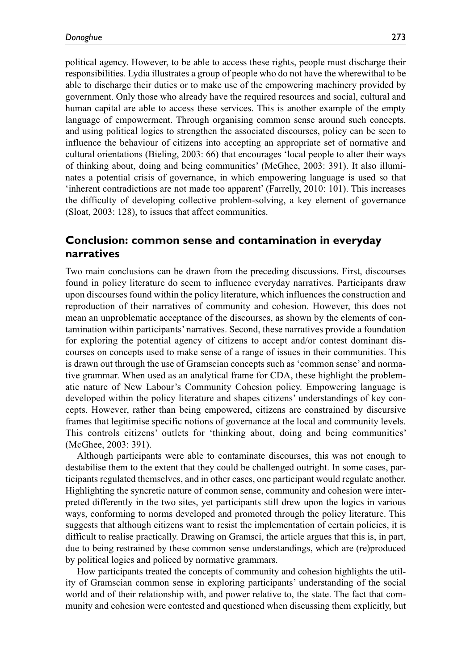political agency. However, to be able to access these rights, people must discharge their responsibilities. Lydia illustrates a group of people who do not have the wherewithal to be able to discharge their duties or to make use of the empowering machinery provided by government. Only those who already have the required resources and social, cultural and human capital are able to access these services. This is another example of the empty language of empowerment. Through organising common sense around such concepts, and using political logics to strengthen the associated discourses, policy can be seen to influence the behaviour of citizens into accepting an appropriate set of normative and cultural orientations (Bieling, 2003: 66) that encourages 'local people to alter their ways of thinking about, doing and being communities' (McGhee, 2003: 391). It also illuminates a potential crisis of governance, in which empowering language is used so that 'inherent contradictions are not made too apparent' (Farrelly, 2010: 101). This increases the difficulty of developing collective problem-solving, a key element of governance (Sloat, 2003: 128), to issues that affect communities.

# **Conclusion: common sense and contamination in everyday narratives**

Two main conclusions can be drawn from the preceding discussions. First, discourses found in policy literature do seem to influence everyday narratives. Participants draw upon discourses found within the policy literature, which influences the construction and reproduction of their narratives of community and cohesion. However, this does not mean an unproblematic acceptance of the discourses, as shown by the elements of contamination within participants' narratives. Second, these narratives provide a foundation for exploring the potential agency of citizens to accept and/or contest dominant discourses on concepts used to make sense of a range of issues in their communities. This is drawn out through the use of Gramscian concepts such as 'common sense' and normative grammar. When used as an analytical frame for CDA, these highlight the problematic nature of New Labour's Community Cohesion policy. Empowering language is developed within the policy literature and shapes citizens' understandings of key concepts. However, rather than being empowered, citizens are constrained by discursive frames that legitimise specific notions of governance at the local and community levels. This controls citizens' outlets for 'thinking about, doing and being communities' (McGhee, 2003: 391).

Although participants were able to contaminate discourses, this was not enough to destabilise them to the extent that they could be challenged outright. In some cases, participants regulated themselves, and in other cases, one participant would regulate another. Highlighting the syncretic nature of common sense, community and cohesion were interpreted differently in the two sites, yet participants still drew upon the logics in various ways, conforming to norms developed and promoted through the policy literature. This suggests that although citizens want to resist the implementation of certain policies, it is difficult to realise practically. Drawing on Gramsci, the article argues that this is, in part, due to being restrained by these common sense understandings, which are (re)produced by political logics and policed by normative grammars.

How participants treated the concepts of community and cohesion highlights the utility of Gramscian common sense in exploring participants' understanding of the social world and of their relationship with, and power relative to, the state. The fact that community and cohesion were contested and questioned when discussing them explicitly, but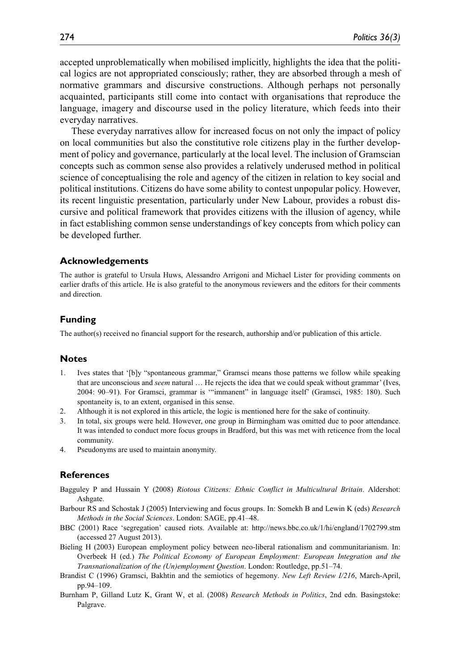accepted unproblematically when mobilised implicitly, highlights the idea that the political logics are not appropriated consciously; rather, they are absorbed through a mesh of normative grammars and discursive constructions. Although perhaps not personally acquainted, participants still come into contact with organisations that reproduce the language, imagery and discourse used in the policy literature, which feeds into their everyday narratives.

These everyday narratives allow for increased focus on not only the impact of policy on local communities but also the constitutive role citizens play in the further development of policy and governance, particularly at the local level. The inclusion of Gramscian concepts such as common sense also provides a relatively underused method in political science of conceptualising the role and agency of the citizen in relation to key social and political institutions. Citizens do have some ability to contest unpopular policy. However, its recent linguistic presentation, particularly under New Labour, provides a robust discursive and political framework that provides citizens with the illusion of agency, while in fact establishing common sense understandings of key concepts from which policy can be developed further.

### **Acknowledgements**

The author is grateful to Ursula Huws, Alessandro Arrigoni and Michael Lister for providing comments on earlier drafts of this article. He is also grateful to the anonymous reviewers and the editors for their comments and direction.

### **Funding**

The author(s) received no financial support for the research, authorship and/or publication of this article.

#### **Notes**

- 1. Ives states that '[b]y "spontaneous grammar," Gramsci means those patterns we follow while speaking that are unconscious and *seem* natural … He rejects the idea that we could speak without grammar' (Ives, 2004: 90–91). For Gramsci, grammar is '"immanent" in language itself' (Gramsci, 1985: 180). Such spontaneity is, to an extent, organised in this sense.
- 2. Although it is not explored in this article, the logic is mentioned here for the sake of continuity.
- 3. In total, six groups were held. However, one group in Birmingham was omitted due to poor attendance. It was intended to conduct more focus groups in Bradford, but this was met with reticence from the local community.
- 4. Pseudonyms are used to maintain anonymity.

#### **References**

- Bagguley P and Hussain Y (2008) *Riotous Citizens: Ethnic Conflict in Multicultural Britain*. Aldershot: Ashgate.
- Barbour RS and Schostak J (2005) Interviewing and focus groups. In: Somekh B and Lewin K (eds) *Research Methods in the Social Sciences*. London: SAGE, pp.41–48.
- BBC (2001) Race 'segregation' caused riots. Available at: <http://news.bbc.co.uk/1/hi/england/1702799.stm> (accessed 27 August 2013).
- Bieling H (2003) European employment policy between neo-liberal rationalism and communitarianism. In: Overbeek H (ed.) *The Political Economy of European Employment: European Integration and the Transnationalization of the (Un)employment Question*. London: Routledge, pp.51–74.
- Brandist C (1996) Gramsci, Bakhtin and the semiotics of hegemony. *New Left Review I/216*, March-April, pp.94–109.
- Burnham P, Gilland Lutz K, Grant W, et al. (2008) *Research Methods in Politics*, 2nd edn. Basingstoke: Palgrave.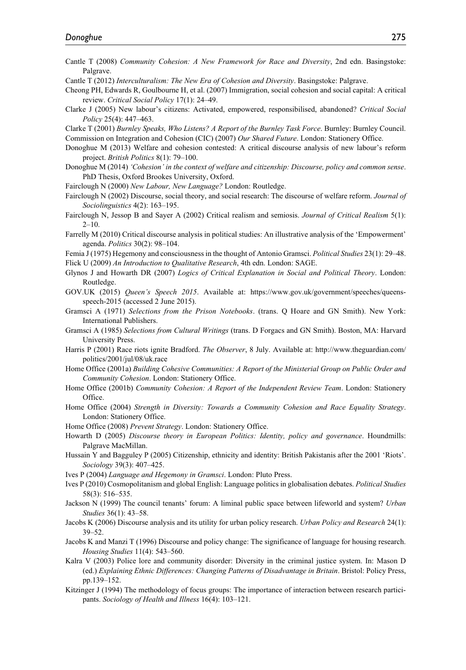- Cantle T (2008) *Community Cohesion: A New Framework for Race and Diversity*, 2nd edn. Basingstoke: Palgrave.
- Cantle T (2012) *Interculturalism: The New Era of Cohesion and Diversity*. Basingstoke: Palgrave.
- Cheong PH, Edwards R, Goulbourne H, et al. (2007) Immigration, social cohesion and social capital: A critical review. *Critical Social Policy* 17(1): 24–49.
- Clarke J (2005) New labour's citizens: Activated, empowered, responsibilised, abandoned? *Critical Social Policy* 25(4): 447–463.

Clarke T (2001) *Burnley Speaks, Who Listens? A Report of the Burnley Task Force*. Burnley: Burnley Council. Commission on Integration and Cohesion (CIC) (2007) *Our Shared Future*. London: Stationery Office.

- Donoghue M (2013) Welfare and cohesion contested: A critical discourse analysis of new labour's reform project. *British Politics* 8(1): 79–100.
- Donoghue M (2014) *'Cohesion' in the context of welfare and citizenship: Discourse, policy and common sense*. PhD Thesis, Oxford Brookes University, Oxford.
- Fairclough N (2000) *New Labour, New Language?* London: Routledge.
- Fairclough N (2002) Discourse, social theory, and social research: The discourse of welfare reform. *Journal of Sociolinguistics* 4(2): 163–195.
- Fairclough N, Jessop B and Sayer A (2002) Critical realism and semiosis. *Journal of Critical Realism* 5(1):  $2 - 10$ .
- Farrelly M (2010) Critical discourse analysis in political studies: An illustrative analysis of the 'Empowerment' agenda. *Politics* 30(2): 98–104.
- Femia J (1975) Hegemony and consciousness in the thought of Antonio Gramsci. *Political Studies* 23(1): 29–48.

Flick U (2009) *An Introduction to Qualitative Research*, 4th edn. London: SAGE.

- Glynos J and Howarth DR (2007) *Logics of Critical Explanation in Social and Political Theory*. London: Routledge.
- GOV.UK (2015) *Queen's Speech 2015*. Available at: [https://www.gov.uk/government/speeches/queens](https://www.gov.uk/government/speeches/queens-speech-2015)[speech-2015](https://www.gov.uk/government/speeches/queens-speech-2015) (accessed 2 June 2015).
- Gramsci A (1971) *Selections from the Prison Notebooks*. (trans. Q Hoare and GN Smith). New York: International Publishers.
- Gramsci A (1985) *Selections from Cultural Writings* (trans. D Forgacs and GN Smith). Boston, MA: Harvard University Press.
- Harris P (2001) Race riots ignite Bradford. *The Observer*, 8 July. Available at: [http://www.theguardian.com/](http://www.theguardian.com/politics/2001/jul/08/uk.race) [politics/2001/jul/08/uk.race](http://www.theguardian.com/politics/2001/jul/08/uk.race)
- Home Office (2001a) *Building Cohesive Communities: A Report of the Ministerial Group on Public Order and Community Cohesion*. London: Stationery Office.
- Home Office (2001b) *Community Cohesion: A Report of the Independent Review Team*. London: Stationery Office.
- Home Office (2004) *Strength in Diversity: Towards a Community Cohesion and Race Equality Strategy*. London: Stationery Office.
- Home Office (2008) *Prevent Strategy*. London: Stationery Office.
- Howarth D (2005) *Discourse theory in European Politics: Identity, policy and governance*. Houndmills: Palgrave MacMillan.
- Hussain Y and Bagguley P (2005) Citizenship, ethnicity and identity: British Pakistanis after the 2001 'Riots'. *Sociology* 39(3): 407–425.
- Ives P (2004) *Language and Hegemony in Gramsci*. London: Pluto Press.
- Ives P (2010) Cosmopolitanism and global English: Language politics in globalisation debates. *Political Studies* 58(3): 516–535.
- Jackson N (1999) The council tenants' forum: A liminal public space between lifeworld and system? *Urban Studies* 36(1): 43–58.
- Jacobs K (2006) Discourse analysis and its utility for urban policy research. *Urban Policy and Research* 24(1): 39–52.
- Jacobs K and Manzi T (1996) Discourse and policy change: The significance of language for housing research. *Housing Studies* 11(4): 543–560.
- Kalra V (2003) Police lore and community disorder: Diversity in the criminal justice system. In: Mason D (ed.) *Explaining Ethnic Differences: Changing Patterns of Disadvantage in Britain*. Bristol: Policy Press, pp.139–152.
- Kitzinger J (1994) The methodology of focus groups: The importance of interaction between research participants. *Sociology of Health and Illness* 16(4): 103–121.